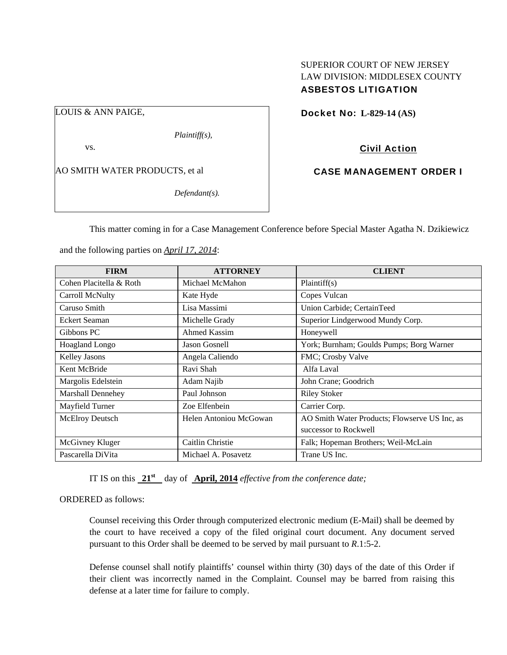## SUPERIOR COURT OF NEW JERSEY LAW DIVISION: MIDDLESEX COUNTY ASBESTOS LITIGATION

LOUIS & ANN PAIGE,

*Plaintiff(s),* 

vs.

AO SMITH WATER PRODUCTS, et al

*Defendant(s).* 

Docket No: **L-829-14 (AS)** 

Civil Action

CASE MANAGEMENT ORDER I

This matter coming in for a Case Management Conference before Special Master Agatha N. Dzikiewicz

and the following parties on *April 17, 2014*:

| <b>FIRM</b>              | <b>ATTORNEY</b>        | <b>CLIENT</b>                                 |
|--------------------------|------------------------|-----------------------------------------------|
| Cohen Placitella & Roth  | Michael McMahon        | Plaintiff(s)                                  |
| Carroll McNulty          | Kate Hyde              | Copes Vulcan                                  |
| Caruso Smith             | Lisa Massimi           | Union Carbide; CertainTeed                    |
| Eckert Seaman            | Michelle Grady         | Superior Lindgerwood Mundy Corp.              |
| Gibbons PC               | Ahmed Kassim           | Honeywell                                     |
| <b>Hoagland Longo</b>    | <b>Jason Gosnell</b>   | York; Burnham; Goulds Pumps; Borg Warner      |
| Kelley Jasons            | Angela Caliendo        | FMC; Crosby Valve                             |
| Kent McBride             | Ravi Shah              | Alfa Laval                                    |
| Margolis Edelstein       | Adam Najib             | John Crane; Goodrich                          |
| <b>Marshall Dennehey</b> | Paul Johnson           | <b>Riley Stoker</b>                           |
| Mayfield Turner          | Zoe Elfenbein          | Carrier Corp.                                 |
| McElroy Deutsch          | Helen Antoniou McGowan | AO Smith Water Products; Flowserve US Inc, as |
|                          |                        | successor to Rockwell                         |
| McGivney Kluger          | Caitlin Christie       | Falk; Hopeman Brothers; Weil-McLain           |
| Pascarella DiVita        | Michael A. Posavetz    | Trane US Inc.                                 |

IT IS on this **21st** day of **April, 2014** *effective from the conference date;*

ORDERED as follows:

Counsel receiving this Order through computerized electronic medium (E-Mail) shall be deemed by the court to have received a copy of the filed original court document. Any document served pursuant to this Order shall be deemed to be served by mail pursuant to *R*.1:5-2.

Defense counsel shall notify plaintiffs' counsel within thirty (30) days of the date of this Order if their client was incorrectly named in the Complaint. Counsel may be barred from raising this defense at a later time for failure to comply.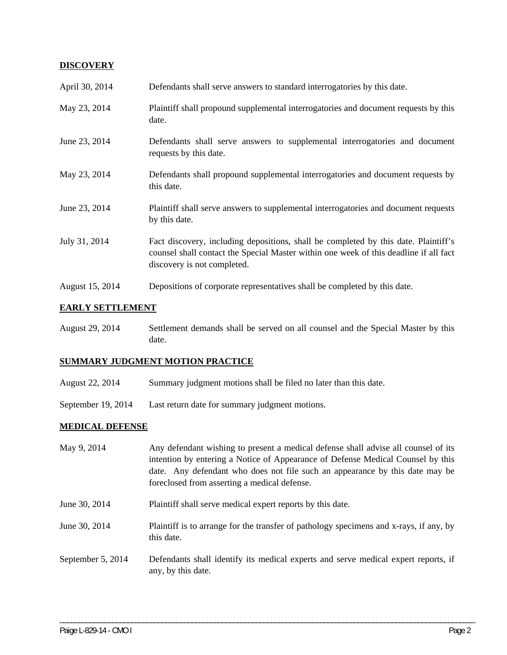### **DISCOVERY**

| April 30, 2014  | Defendants shall serve answers to standard interrogatories by this date.                                                                                                                                    |
|-----------------|-------------------------------------------------------------------------------------------------------------------------------------------------------------------------------------------------------------|
| May 23, 2014    | Plaintiff shall propound supplemental interrogatories and document requests by this<br>date.                                                                                                                |
| June 23, 2014   | Defendants shall serve answers to supplemental interrogatories and document<br>requests by this date.                                                                                                       |
| May 23, 2014    | Defendants shall propound supplemental interrogatories and document requests by<br>this date.                                                                                                               |
| June 23, 2014   | Plaintiff shall serve answers to supplemental interrogatories and document requests<br>by this date.                                                                                                        |
| July 31, 2014   | Fact discovery, including depositions, shall be completed by this date. Plaintiff's<br>counsel shall contact the Special Master within one week of this deadline if all fact<br>discovery is not completed. |
| August 15, 2014 | Depositions of corporate representatives shall be completed by this date.                                                                                                                                   |

## **EARLY SETTLEMENT**

August 29, 2014 Settlement demands shall be served on all counsel and the Special Master by this date.

# **SUMMARY JUDGMENT MOTION PRACTICE**

- August 22, 2014 Summary judgment motions shall be filed no later than this date.
- September 19, 2014 Last return date for summary judgment motions.

### **MEDICAL DEFENSE**

| May 9, 2014       | Any defendant wishing to present a medical defense shall advise all counsel of its<br>intention by entering a Notice of Appearance of Defense Medical Counsel by this<br>date. Any defendant who does not file such an appearance by this date may be<br>foreclosed from asserting a medical defense. |
|-------------------|-------------------------------------------------------------------------------------------------------------------------------------------------------------------------------------------------------------------------------------------------------------------------------------------------------|
| June 30, 2014     | Plaintiff shall serve medical expert reports by this date.                                                                                                                                                                                                                                            |
| June 30, 2014     | Plaintiff is to arrange for the transfer of pathology specimens and x-rays, if any, by<br>this date.                                                                                                                                                                                                  |
| September 5, 2014 | Defendants shall identify its medical experts and serve medical expert reports, if<br>any, by this date.                                                                                                                                                                                              |

\_\_\_\_\_\_\_\_\_\_\_\_\_\_\_\_\_\_\_\_\_\_\_\_\_\_\_\_\_\_\_\_\_\_\_\_\_\_\_\_\_\_\_\_\_\_\_\_\_\_\_\_\_\_\_\_\_\_\_\_\_\_\_\_\_\_\_\_\_\_\_\_\_\_\_\_\_\_\_\_\_\_\_\_\_\_\_\_\_\_\_\_\_\_\_\_\_\_\_\_\_\_\_\_\_\_\_\_\_\_